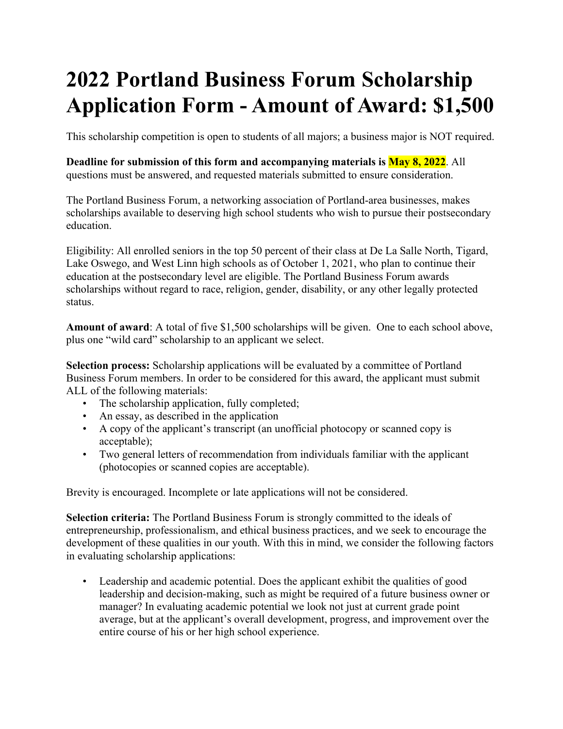## **2022 Portland Business Forum Scholarship Application Form - Amount of Award: \$1,500**

This scholarship competition is open to students of all majors; a business major is NOT required.

**Deadline for submission of this form and accompanying materials is May 8, 2022**. All questions must be answered, and requested materials submitted to ensure consideration.

The Portland Business Forum, a networking association of Portland-area businesses, makes scholarships available to deserving high school students who wish to pursue their postsecondary education.

Eligibility: All enrolled seniors in the top 50 percent of their class at De La Salle North, Tigard, Lake Oswego, and West Linn high schools as of October 1, 2021, who plan to continue their education at the postsecondary level are eligible. The Portland Business Forum awards scholarships without regard to race, religion, gender, disability, or any other legally protected status.

**Amount of award**: A total of five \$1,500 scholarships will be given. One to each school above, plus one "wild card" scholarship to an applicant we select.

**Selection process:** Scholarship applications will be evaluated by a committee of Portland Business Forum members. In order to be considered for this award, the applicant must submit ALL of the following materials:

- The scholarship application, fully completed;
- An essay, as described in the application
- A copy of the applicant's transcript (an unofficial photocopy or scanned copy is acceptable);
- Two general letters of recommendation from individuals familiar with the applicant (photocopies or scanned copies are acceptable).

Brevity is encouraged. Incomplete or late applications will not be considered.

**Selection criteria:** The Portland Business Forum is strongly committed to the ideals of entrepreneurship, professionalism, and ethical business practices, and we seek to encourage the development of these qualities in our youth. With this in mind, we consider the following factors in evaluating scholarship applications:

• Leadership and academic potential. Does the applicant exhibit the qualities of good leadership and decision-making, such as might be required of a future business owner or manager? In evaluating academic potential we look not just at current grade point average, but at the applicant's overall development, progress, and improvement over the entire course of his or her high school experience.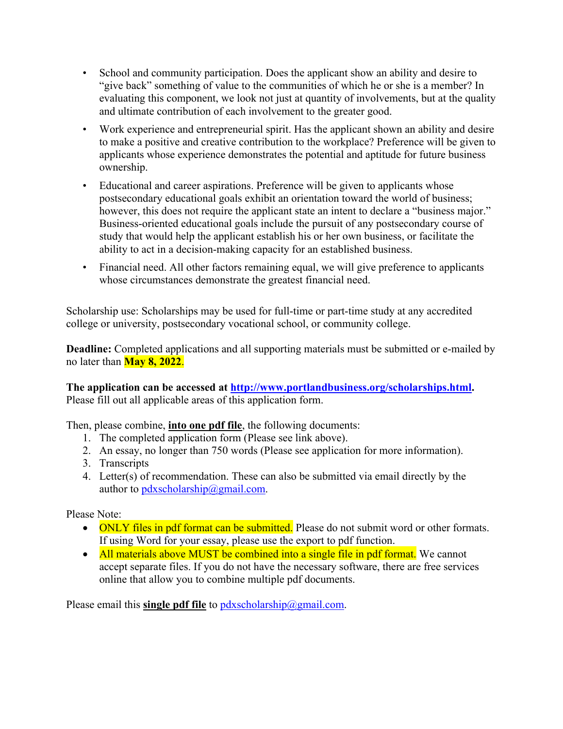- School and community participation. Does the applicant show an ability and desire to "give back" something of value to the communities of which he or she is a member? In evaluating this component, we look not just at quantity of involvements, but at the quality and ultimate contribution of each involvement to the greater good.
- Work experience and entrepreneurial spirit. Has the applicant shown an ability and desire to make a positive and creative contribution to the workplace? Preference will be given to applicants whose experience demonstrates the potential and aptitude for future business ownership.
- Educational and career aspirations. Preference will be given to applicants whose postsecondary educational goals exhibit an orientation toward the world of business; however, this does not require the applicant state an intent to declare a "business major." Business-oriented educational goals include the pursuit of any postsecondary course of study that would help the applicant establish his or her own business, or facilitate the ability to act in a decision-making capacity for an established business.
- Financial need. All other factors remaining equal, we will give preference to applicants whose circumstances demonstrate the greatest financial need.

Scholarship use: Scholarships may be used for full-time or part-time study at any accredited college or university, postsecondary vocational school, or community college.

**Deadline:** Completed applications and all supporting materials must be submitted or e-mailed by no later than **May 8, 2022**.

**The application can be accessed at http://www.portlandbusiness.org/scholarships.html.**  Please fill out all applicable areas of this application form.

Then, please combine, **into one pdf file**, the following documents:

- 1. The completed application form (Please see link above).
- 2. An essay, no longer than 750 words (Please see application for more information).
- 3. Transcripts
- 4. Letter(s) of recommendation. These can also be submitted via email directly by the author to  $p$ dxscholarship@gmail.com.

Please Note:

- ONLY files in pdf format can be submitted. Please do not submit word or other formats. If using Word for your essay, please use the export to pdf function.
- All materials above MUST be combined into a single file in pdf format. We cannot accept separate files. If you do not have the necessary software, there are free services online that allow you to combine multiple pdf documents.

Please email this **single pdf file** to pdxscholarship@gmail.com.